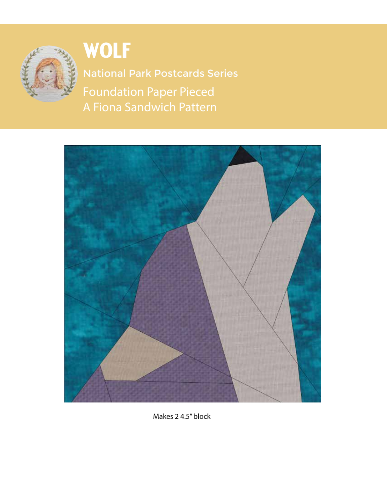

**WOLF** 

Foundation Paper Pieced A Fiona Sandwich Pattern National Park Postcards Series



Makes 2 4.5" block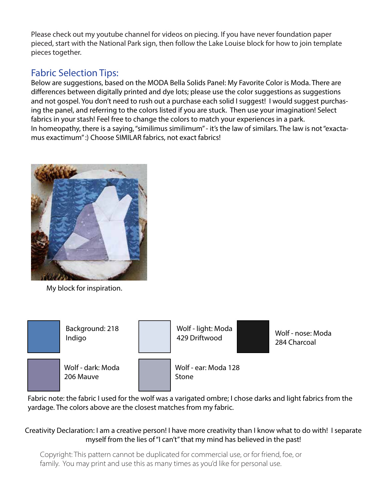Please check out my youtube channel for videos on piecing. If you have never foundation paper pieced, start with the National Park sign, then follow the Lake Louise block for how to join template pieces together.

## Fabric Selection Tips:

Below are suggestions, based on the MODA Bella Solids Panel: My Favorite Color is Moda. There are differences between digitally printed and dye lots; please use the color suggestions as suggestions and not gospel. You don't need to rush out a purchase each solid I suggest! I would suggest purchasing the panel, and referring to the colors listed if you are stuck. Then use your imagination! Select fabrics in your stash! Feel free to change the colors to match your experiences in a park. In homeopathy, there is a saying, "similimus similimum" - it's the law of similars. The law is not "exactamus exactimum" :) Choose SIMILAR fabrics, not exact fabrics!



My block for inspiration.



Fabric note: the fabric I used for the wolf was a varigated ombre; I chose darks and light fabrics from the yardage. The colors above are the closest matches from my fabric.

## Creativity Declaration: I am a creative person! I have more creativity than I know what to do with! I separate myself from the lies of "I can't" that my mind has believed in the past!

Copyright: This pattern cannot be duplicated for commercial use, or for friend, foe, or family. You may print and use this as many times as you'd like for personal use.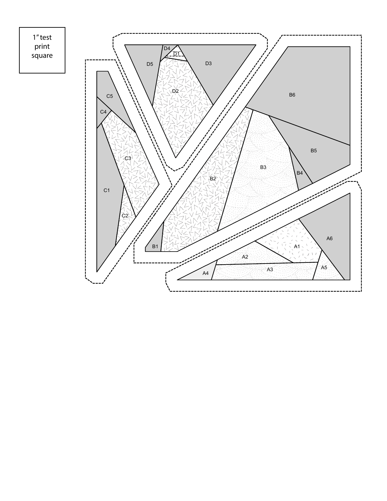1" test print square

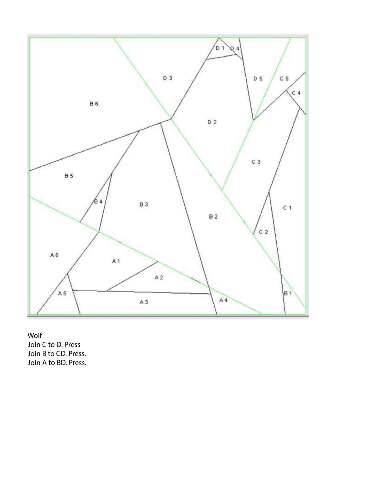